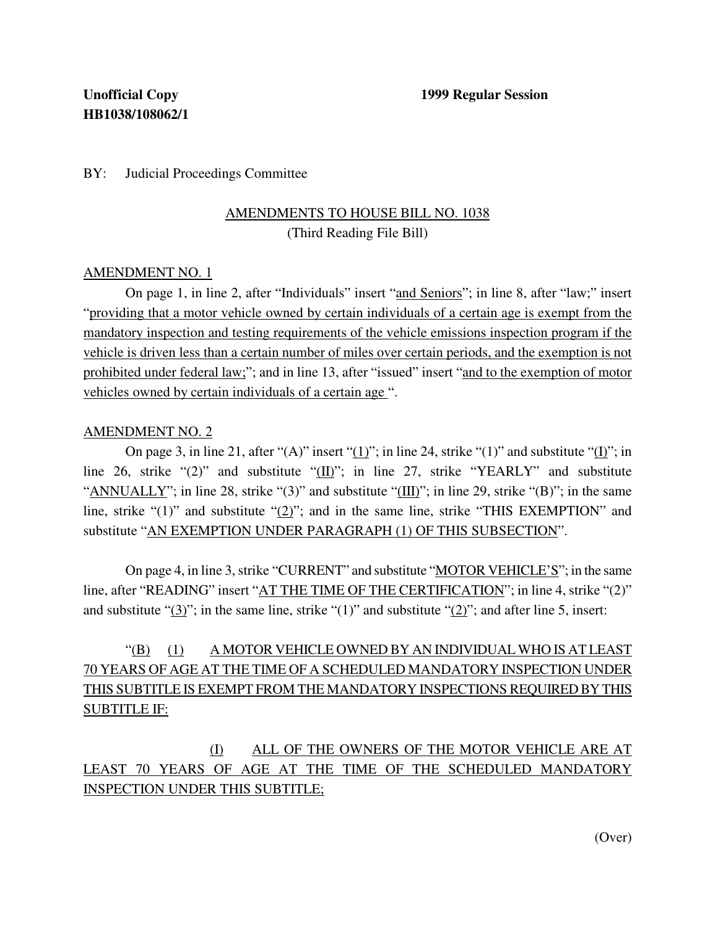### BY: Judicial Proceedings Committee

## AMENDMENTS TO HOUSE BILL NO. 1038 (Third Reading File Bill)

#### AMENDMENT NO. 1

On page 1, in line 2, after "Individuals" insert "and Seniors"; in line 8, after "law;" insert "providing that a motor vehicle owned by certain individuals of a certain age is exempt from the mandatory inspection and testing requirements of the vehicle emissions inspection program if the vehicle is driven less than a certain number of miles over certain periods, and the exemption is not prohibited under federal law;"; and in line 13, after "issued" insert "and to the exemption of motor vehicles owned by certain individuals of a certain age ".

#### AMENDMENT NO. 2

On page 3, in line 21, after " $(A)$ " insert " $(1)$ "; in line 24, strike " $(1)$ " and substitute " $(I)$ "; in line 26, strike "(2)" and substitute "(II)"; in line 27, strike "YEARLY" and substitute "ANNUALLY"; in line 28, strike "(3)" and substitute "(III)"; in line 29, strike "(B)"; in the same line, strike "(1)" and substitute "(2)"; and in the same line, strike "THIS EXEMPTION" and substitute "AN EXEMPTION UNDER PARAGRAPH (1) OF THIS SUBSECTION".

On page 4, in line 3, strike "CURRENT" and substitute "MOTOR VEHICLE'S"; in the same line, after "READING" insert "AT THE TIME OF THE CERTIFICATION"; in line 4, strike "(2)" and substitute " $(3)$ "; in the same line, strike " $(1)$ " and substitute " $(2)$ "; and after line 5, insert:

# "(B) (1) A MOTOR VEHICLE OWNED BY AN INDIVIDUALWHO IS AT LEAST 70 YEARS OF AGE AT THE TIME OF A SCHEDULED MANDATORY INSPECTION UNDER THIS SUBTITLE IS EXEMPT FROM THE MANDATORY INSPECTIONS REQUIRED BY THIS SUBTITLE IF:

(I) ALL OF THE OWNERS OF THE MOTOR VEHICLE ARE AT LEAST 70 YEARS OF AGE AT THE TIME OF THE SCHEDULED MANDATORY INSPECTION UNDER THIS SUBTITLE;

(Over)